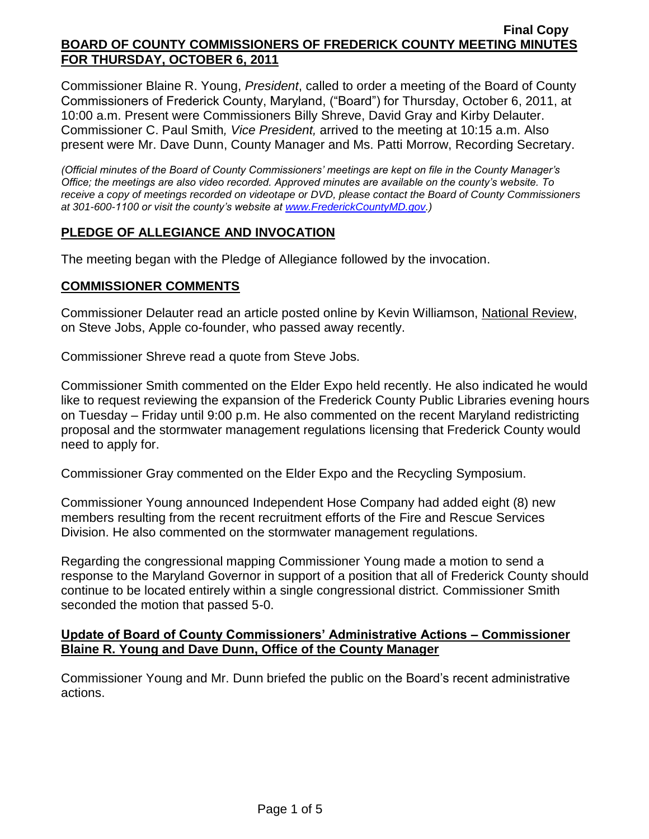Commissioner Blaine R. Young, *President*, called to order a meeting of the Board of County Commissioners of Frederick County, Maryland, ("Board") for Thursday, October 6, 2011, at 10:00 a.m. Present were Commissioners Billy Shreve, David Gray and Kirby Delauter. Commissioner C. Paul Smith*, Vice President,* arrived to the meeting at 10:15 a.m. Also present were Mr. Dave Dunn, County Manager and Ms. Patti Morrow, Recording Secretary.

*(Official minutes of the Board of County Commissioners' meetings are kept on file in the County Manager's Office; the meetings are also video recorded. Approved minutes are available on the county's website. To receive a copy of meetings recorded on videotape or DVD, please contact the Board of County Commissioners at 301-600-1100 or visit the county's website at [www.FrederickCountyMD.gov.](http://www.frederickcountymd.gov/))*

## **PLEDGE OF ALLEGIANCE AND INVOCATION**

The meeting began with the Pledge of Allegiance followed by the invocation.

#### **COMMISSIONER COMMENTS**

Commissioner Delauter read an article posted online by Kevin Williamson, National Review, on Steve Jobs, Apple co-founder, who passed away recently.

Commissioner Shreve read a quote from Steve Jobs.

Commissioner Smith commented on the Elder Expo held recently. He also indicated he would like to request reviewing the expansion of the Frederick County Public Libraries evening hours on Tuesday – Friday until 9:00 p.m. He also commented on the recent Maryland redistricting proposal and the stormwater management regulations licensing that Frederick County would need to apply for.

Commissioner Gray commented on the Elder Expo and the Recycling Symposium.

Commissioner Young announced Independent Hose Company had added eight (8) new members resulting from the recent recruitment efforts of the Fire and Rescue Services Division. He also commented on the stormwater management regulations.

Regarding the congressional mapping Commissioner Young made a motion to send a response to the Maryland Governor in support of a position that all of Frederick County should continue to be located entirely within a single congressional district. Commissioner Smith seconded the motion that passed 5-0.

## **Update of Board of County Commissioners' Administrative Actions – Commissioner Blaine R. Young and Dave Dunn, Office of the County Manager**

Commissioner Young and Mr. Dunn briefed the public on the Board's recent administrative actions.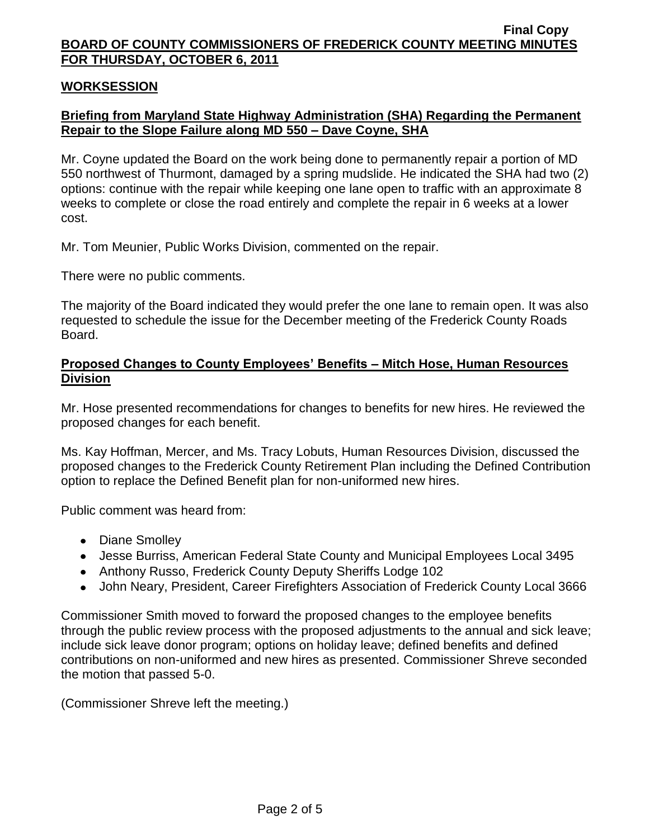#### **WORKSESSION**

# **Briefing from Maryland State Highway Administration (SHA) Regarding the Permanent Repair to the Slope Failure along MD 550 – Dave Coyne, SHA**

Mr. Coyne updated the Board on the work being done to permanently repair a portion of MD 550 northwest of Thurmont, damaged by a spring mudslide. He indicated the SHA had two (2) options: continue with the repair while keeping one lane open to traffic with an approximate 8 weeks to complete or close the road entirely and complete the repair in 6 weeks at a lower cost.

Mr. Tom Meunier, Public Works Division, commented on the repair.

There were no public comments.

The majority of the Board indicated they would prefer the one lane to remain open. It was also requested to schedule the issue for the December meeting of the Frederick County Roads Board.

#### **Proposed Changes to County Employees' Benefits – Mitch Hose, Human Resources Division**

Mr. Hose presented recommendations for changes to benefits for new hires. He reviewed the proposed changes for each benefit.

Ms. Kay Hoffman, Mercer, and Ms. Tracy Lobuts, Human Resources Division, discussed the proposed changes to the Frederick County Retirement Plan including the Defined Contribution option to replace the Defined Benefit plan for non-uniformed new hires.

Public comment was heard from:

- Diane Smolley
- Jesse Burriss, American Federal State County and Municipal Employees Local 3495
- Anthony Russo, Frederick County Deputy Sheriffs Lodge 102
- John Neary, President, Career Firefighters Association of Frederick County Local 3666

Commissioner Smith moved to forward the proposed changes to the employee benefits through the public review process with the proposed adjustments to the annual and sick leave; include sick leave donor program; options on holiday leave; defined benefits and defined contributions on non-uniformed and new hires as presented. Commissioner Shreve seconded the motion that passed 5-0.

(Commissioner Shreve left the meeting.)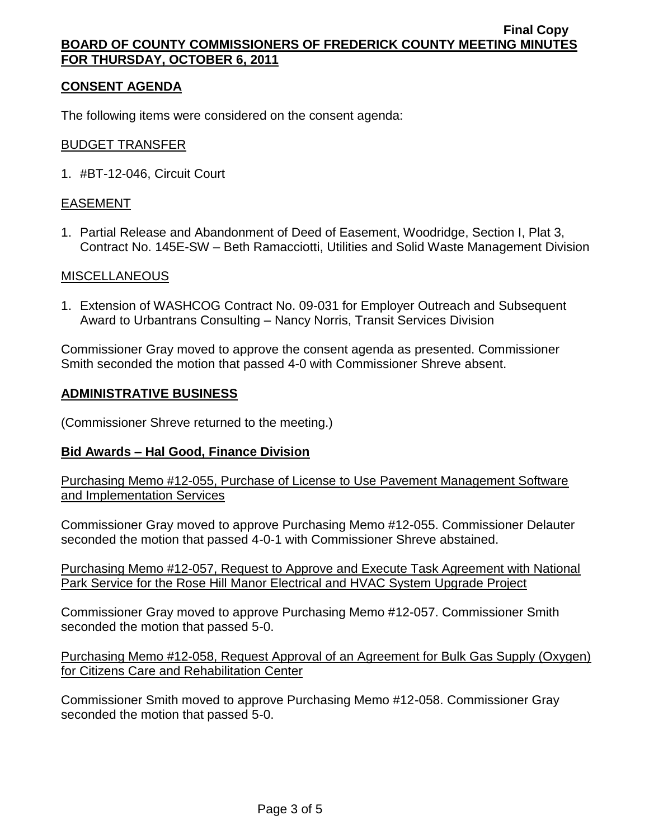# **CONSENT AGENDA**

The following items were considered on the consent agenda:

## BUDGET TRANSFER

1. #BT-12-046, Circuit Court

# EASEMENT

1. Partial Release and Abandonment of Deed of Easement, Woodridge, Section I, Plat 3, Contract No. 145E-SW – Beth Ramacciotti, Utilities and Solid Waste Management Division

## MISCELLANEOUS

1. Extension of WASHCOG Contract No. 09-031 for Employer Outreach and Subsequent Award to Urbantrans Consulting – Nancy Norris, Transit Services Division

Commissioner Gray moved to approve the consent agenda as presented. Commissioner Smith seconded the motion that passed 4-0 with Commissioner Shreve absent.

#### **ADMINISTRATIVE BUSINESS**

(Commissioner Shreve returned to the meeting.)

## **Bid Awards – Hal Good, Finance Division**

Purchasing Memo #12-055, Purchase of License to Use Pavement Management Software and Implementation Services

Commissioner Gray moved to approve Purchasing Memo #12-055. Commissioner Delauter seconded the motion that passed 4-0-1 with Commissioner Shreve abstained.

Purchasing Memo #12-057, Request to Approve and Execute Task Agreement with National Park Service for the Rose Hill Manor Electrical and HVAC System Upgrade Project

Commissioner Gray moved to approve Purchasing Memo #12-057. Commissioner Smith seconded the motion that passed 5-0.

Purchasing Memo #12-058, Request Approval of an Agreement for Bulk Gas Supply (Oxygen) for Citizens Care and Rehabilitation Center

Commissioner Smith moved to approve Purchasing Memo #12-058. Commissioner Gray seconded the motion that passed 5-0.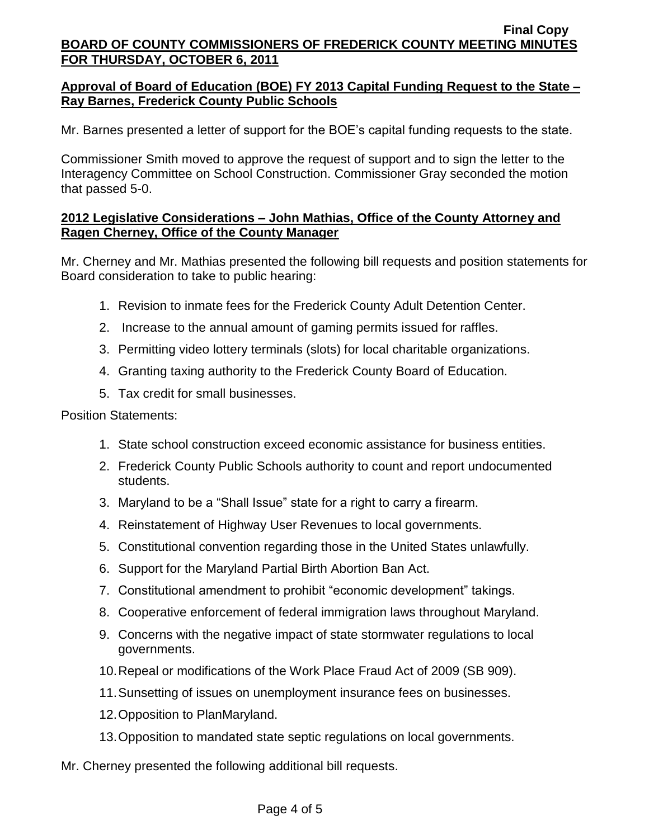# **Approval of Board of Education (BOE) FY 2013 Capital Funding Request to the State – Ray Barnes, Frederick County Public Schools**

Mr. Barnes presented a letter of support for the BOE's capital funding requests to the state.

Commissioner Smith moved to approve the request of support and to sign the letter to the Interagency Committee on School Construction. Commissioner Gray seconded the motion that passed 5-0.

# **2012 Legislative Considerations – John Mathias, Office of the County Attorney and Ragen Cherney, Office of the County Manager**

Mr. Cherney and Mr. Mathias presented the following bill requests and position statements for Board consideration to take to public hearing:

- 1. Revision to inmate fees for the Frederick County Adult Detention Center.
- 2. Increase to the annual amount of gaming permits issued for raffles.
- 3. Permitting video lottery terminals (slots) for local charitable organizations.
- 4. Granting taxing authority to the Frederick County Board of Education.
- 5. Tax credit for small businesses.

Position Statements:

- 1. State school construction exceed economic assistance for business entities.
- 2. Frederick County Public Schools authority to count and report undocumented students.
- 3. Maryland to be a "Shall Issue" state for a right to carry a firearm.
- 4. Reinstatement of Highway User Revenues to local governments.
- 5. Constitutional convention regarding those in the United States unlawfully.
- 6. Support for the Maryland Partial Birth Abortion Ban Act.
- 7. Constitutional amendment to prohibit "economic development" takings.
- 8. Cooperative enforcement of federal immigration laws throughout Maryland.
- 9. Concerns with the negative impact of state stormwater regulations to local governments.
- 10.Repeal or modifications of the Work Place Fraud Act of 2009 (SB 909).
- 11.Sunsetting of issues on unemployment insurance fees on businesses.
- 12.Opposition to PlanMaryland.
- 13.Opposition to mandated state septic regulations on local governments.

Mr. Cherney presented the following additional bill requests.